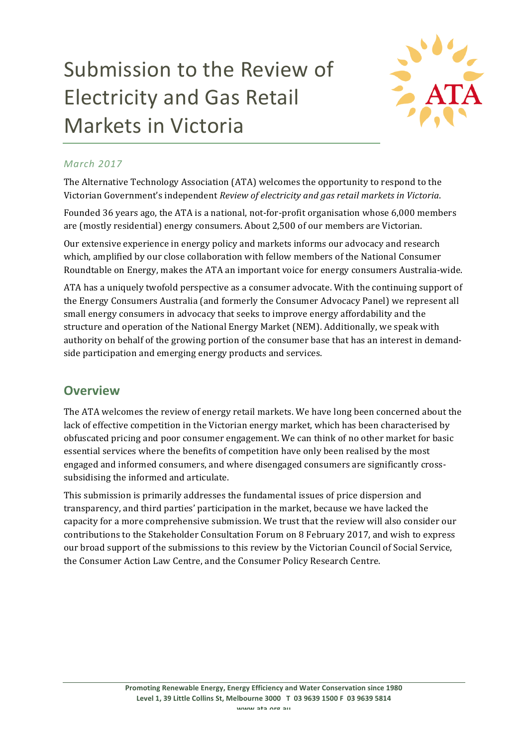# Submission to the Review of Electricity and Gas Retail Markets in Victoria



# *March 2017*

The Alternative Technology Association (ATA) welcomes the opportunity to respond to the Victorian Government's independent *Review of electricity and gas retail markets in Victoria*.

Founded 36 years ago, the ATA is a national, not-for-profit organisation whose 6,000 members are (mostly residential) energy consumers. About 2,500 of our members are Victorian.

Our extensive experience in energy policy and markets informs our advocacy and research which, amplified by our close collaboration with fellow members of the National Consumer Roundtable on Energy, makes the ATA an important voice for energy consumers Australia-wide.

ATA has a uniquely twofold perspective as a consumer advocate. With the continuing support of the Energy Consumers Australia (and formerly the Consumer Advocacy Panel) we represent all small energy consumers in advocacy that seeks to improve energy affordability and the structure and operation of the National Energy Market (NEM). Additionally, we speak with authority on behalf of the growing portion of the consumer base that has an interest in demandside participation and emerging energy products and services.

# **Overview**

The ATA welcomes the review of energy retail markets. We have long been concerned about the lack of effective competition in the Victorian energy market, which has been characterised by obfuscated pricing and poor consumer engagement. We can think of no other market for basic essential services where the benefits of competition have only been realised by the most engaged and informed consumers, and where disengaged consumers are significantly crosssubsidising the informed and articulate.

This submission is primarily addresses the fundamental issues of price dispersion and transparency, and third parties' participation in the market, because we have lacked the capacity for a more comprehensive submission. We trust that the review will also consider our contributions to the Stakeholder Consultation Forum on 8 February 2017, and wish to express our broad support of the submissions to this review by the Victorian Council of Social Service, the Consumer Action Law Centre, and the Consumer Policy Research Centre.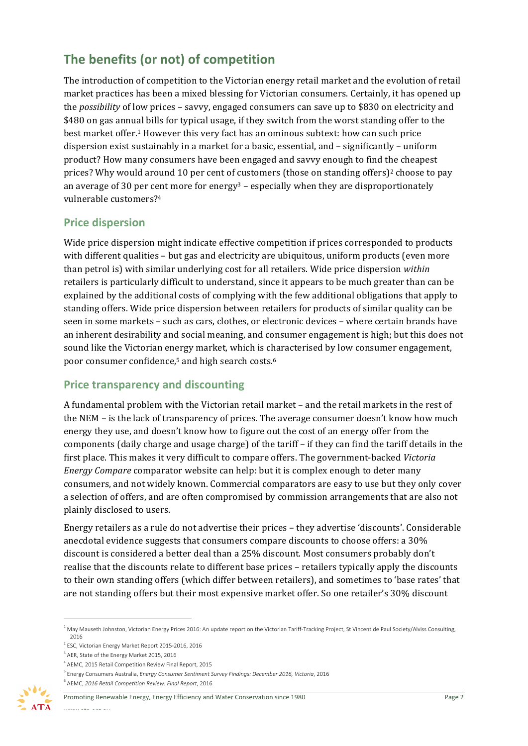# The benefits (or not) of competition

The introduction of competition to the Victorian energy retail market and the evolution of retail market practices has been a mixed blessing for Victorian consumers. Certainly, it has opened up the *possibility* of low prices - savvy, engaged consumers can save up to \$830 on electricity and \$480 on gas annual bills for typical usage, if they switch from the worst standing offer to the best market offer.<sup>1</sup> However this very fact has an ominous subtext: how can such price dispersion exist sustainably in a market for a basic, essential, and  $-$  significantly  $-$  uniform product? How many consumers have been engaged and savvy enough to find the cheapest prices? Why would around 10 per cent of customers (those on standing offers)<sup>2</sup> choose to pay an average of 30 per cent more for energy<sup>3</sup> – especially when they are disproportionately vulnerable customers?<sup>4</sup>

# **Price dispersion**

Wide price dispersion might indicate effective competition if prices corresponded to products with different qualities - but gas and electricity are ubiquitous, uniform products (even more than petrol is) with similar underlying cost for all retailers. Wide price dispersion *within* retailers is particularly difficult to understand, since it appears to be much greater than can be explained by the additional costs of complying with the few additional obligations that apply to standing offers. Wide price dispersion between retailers for products of similar quality can be seen in some markets - such as cars, clothes, or electronic devices - where certain brands have an inherent desirability and social meaning, and consumer engagement is high; but this does not sound like the Victorian energy market, which is characterised by low consumer engagement, poor consumer confidence,<sup>5</sup> and high search costs.<sup>6</sup>

# **Price transparency and discounting**

A fundamental problem with the Victorian retail market – and the retail markets in the rest of the  $NEM$  – is the lack of transparency of prices. The average consumer doesn't know how much energy they use, and doesn't know how to figure out the cost of an energy offer from the components (daily charge and usage charge) of the tariff  $-$  if they can find the tariff details in the first place. This makes it very difficult to compare offers. The government-backed Victoria *Energy Compare* comparator website can help: but it is complex enough to deter many consumers, and not widely known. Commercial comparators are easy to use but they only cover a selection of offers, and are often compromised by commission arrangements that are also not plainly disclosed to users.

Energy retailers as a rule do not advertise their prices - they advertise 'discounts'. Considerable anecdotal evidence suggests that consumers compare discounts to choose offers: a 30% discount is considered a better deal than a 25% discount. Most consumers probably don't realise that the discounts relate to different base prices – retailers typically apply the discounts to their own standing offers (which differ between retailers), and sometimes to 'base rates' that are not standing offers but their most expensive market offer. So one retailer's 30% discount

<sup>&</sup>lt;sup>1</sup> May Mauseth Johnston, Victorian Energy Prices 2016: An update report on the Victorian Tariff-Tracking Project, St Vincent de Paul Society/Alviss Consulting, 2016

 $2$  ESC, Victorian Energy Market Report 2015-2016, 2016

 $3$  AER, State of the Energy Market 2015, 2016

<sup>&</sup>lt;sup>4</sup> AEMC, 2015 Retail Competition Review Final Report, 2015

<sup>&</sup>lt;sup>5</sup> Energy Consumers Australia, *Energy Consumer Sentiment Survey Findings: December 2016, Victoria*, 2016

<sup>6</sup> AEMC, *2016 Retail Competition Review: Final Report*, 2016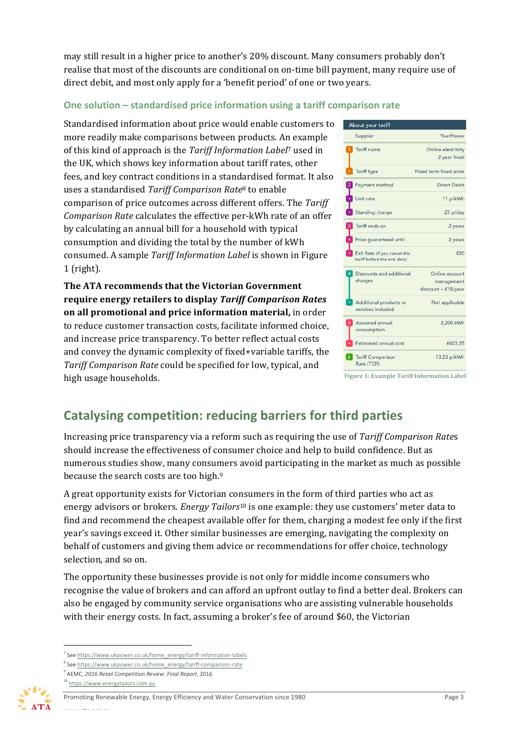may still result in a higher price to another's 20% discount. Many consumers probably don't realise that most of the discounts are conditional on on-time bill payment, many require use of direct debit, and most only apply for a 'benefit period' of one or two years.

# **One solution – standardised price information using a tariff comparison rate**

Standardised information about price would enable customers to more readily make comparisons between products. An example of this kind of approach is the *Tariff Information Label*<sup>7</sup> used in the UK, which shows key information about tariff rates, other fees, and key contract conditions in a standardised format. It also uses a standardised *Tariff Comparison Rate*<sup>8</sup> to enable comparison of price outcomes across different offers. The Tariff *Comparison Rate* calculates the effective per-kWh rate of an offer by calculating an annual bill for a household with typical consumption and dividing the total by the number of kWh consumed. A sample *Tariff Information Label* is shown in Figure 1 (right).

The ATA recommends that the Victorian Government **require energy retailers to display** *Tariff Comparison Rates* **on all promotional and price information material, in order** to reduce customer transaction costs, facilitate informed choice, and increase price transparency. To better reflect actual costs and convey the dynamic complexity of fixed+variable tariffs, the Tariff Comparison Rate could be specified for low, typical, and high usage households.

| Supplier                                                     | YourPower              |
|--------------------------------------------------------------|------------------------|
| Tariff name                                                  | Online electricity     |
|                                                              | 2 year fixed           |
| Tariff type                                                  | Fixed term fixed price |
| Payment method                                               | <b>Direct Debit</b>    |
| Unit rate                                                    | 11 p/kWh               |
| Standing charge                                              | 25 p/day               |
| Tariff ends on                                               | 2 years                |
| Price quaranteed until                                       | 2 years                |
| Exit fees (if you cancel this<br>tariff before the end date) | £20                    |
| Discounts and additional                                     | Online account         |
| charges                                                      | management             |
|                                                              | discount - £10/year    |
| Additional products or                                       | Not applicable         |
| services included                                            |                        |
| Assumed annual                                               | 3,200 kWh              |
| consumption                                                  |                        |
| Estimated annual cost                                        | £423.25                |
| <b>6</b> Tariff Comparison                                   | 13.23 p/kWh            |
| Rate (TCR)                                                   |                        |

# **Catalysing competition: reducing barriers for third parties**

Increasing price transparency via a reform such as requiring the use of *Tariff Comparison Rates* should increase the effectiveness of consumer choice and help to build confidence. But as numerous studies show, many consumers avoid participating in the market as much as possible because the search costs are too high.<sup>9</sup>

A great opportunity exists for Victorian consumers in the form of third parties who act as energy advisors or brokers. *Energy Tailors*<sup>10</sup> is one example: they use customers' meter data to find and recommend the cheapest available offer for them, charging a modest fee only if the first year's savings exceed it. Other similar businesses are emerging, navigating the complexity on behalf of customers and giving them advice or recommendations for offer choice, technology selection, and so on.

The opportunity these businesses provide is not only for middle income consumers who recognise the value of brokers and can afford an upfront outlay to find a better deal. Brokers can also be engaged by community service organisations who are assisting vulnerable households with their energy costs. In fact, assuming a broker's fee of around \$60, the Victorian

<sup>10</sup> https://www.energytailors.com.au



<sup>&</sup>lt;sup>7</sup> See https://www.ukpower.co.uk/home\_energy/tariff-information-labels

 $8$  See https://www.ukpower.co.uk/home\_energy/tariff-comparison-rate

<sup>9</sup> AEMC, *2016 Retail Competition Review: Final Report*, 2016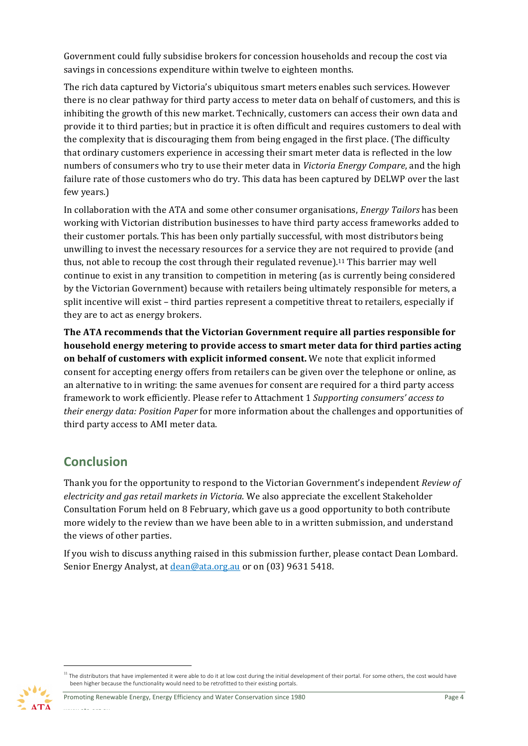Government could fully subsidise brokers for concession households and recoup the cost via savings in concessions expenditure within twelve to eighteen months.

The rich data captured by Victoria's ubiquitous smart meters enables such services. However there is no clear pathway for third party access to meter data on behalf of customers, and this is inhibiting the growth of this new market. Technically, customers can access their own data and provide it to third parties; but in practice it is often difficult and requires customers to deal with the complexity that is discouraging them from being engaged in the first place. (The difficulty that ordinary customers experience in accessing their smart meter data is reflected in the low numbers of consumers who try to use their meter data in *Victoria Energy Compare*, and the high failure rate of those customers who do try. This data has been captured by DELWP over the last few years.)

In collaboration with the ATA and some other consumer organisations, *Energy Tailors* has been working with Victorian distribution businesses to have third party access frameworks added to their customer portals. This has been only partially successful, with most distributors being unwilling to invest the necessary resources for a service they are not required to provide (and thus, not able to recoup the cost through their regulated revenue).<sup>11</sup> This barrier may well continue to exist in any transition to competition in metering (as is currently being considered by the Victorian Government) because with retailers being ultimately responsible for meters, a split incentive will exist - third parties represent a competitive threat to retailers, especially if they are to act as energy brokers.

The ATA recommends that the Victorian Government require all parties responsible for **household energy metering to provide access to smart meter data for third parties acting on behalf of customers with explicit informed consent.** We note that explicit informed consent for accepting energy offers from retailers can be given over the telephone or online, as an alternative to in writing: the same avenues for consent are required for a third party access framework to work efficiently. Please refer to Attachment 1 Supporting consumers' access to *their energy data: Position Paper* for more information about the challenges and opportunities of third party access to AMI meter data.

# **Conclusion**

Thank you for the opportunity to respond to the Victorian Government's independent *Review of electricity* and gas retail markets in Victoria. We also appreciate the excellent Stakeholder Consultation Forum held on 8 February, which gave us a good opportunity to both contribute more widely to the review than we have been able to in a written submission, and understand the views of other parties.

If you wish to discuss anything raised in this submission further, please contact Dean Lombard. Senior Energy Analyst, at *dean@ata.org.au* or on (03) 9631 5418.

Promoting Renewable Energy, Energy Efficiency and Water Conservation since 1980 Page 4 www.ata.org.au<br>.



 $11$  The distributors that have implemented it were able to do it at low cost during the initial development of their portal. For some others, the cost would have been higher because the functionality would need to be retrofitted to their existing portals.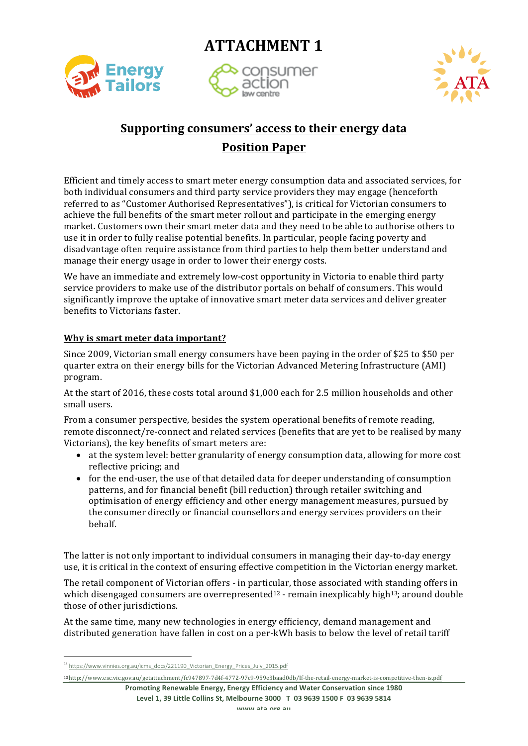**ATTACHMENT 1** 



consumer



# **Supporting consumers' access to their energy data**

# **Position Paper**

Efficient and timely access to smart meter energy consumption data and associated services, for both individual consumers and third party service providers they may engage (henceforth referred to as "Customer Authorised Representatives"), is critical for Victorian consumers to achieve the full benefits of the smart meter rollout and participate in the emerging energy market. Customers own their smart meter data and they need to be able to authorise others to use it in order to fully realise potential benefits. In particular, people facing poverty and disadvantage often require assistance from third parties to help them better understand and manage their energy usage in order to lower their energy costs.

We have an immediate and extremely low-cost opportunity in Victoria to enable third party service providers to make use of the distributor portals on behalf of consumers. This would significantly improve the uptake of innovative smart meter data services and deliver greater benefits to Victorians faster.

# **Why is smart meter data important?**

Since 2009, Victorian small energy consumers have been paying in the order of \$25 to \$50 per quarter extra on their energy bills for the Victorian Advanced Metering Infrastructure (AMI) program.

At the start of 2016, these costs total around \$1,000 each for 2.5 million households and other small users.

From a consumer perspective, besides the system operational benefits of remote reading, remote disconnect/re-connect and related services (benefits that are yet to be realised by many Victorians), the key benefits of smart meters are:

- at the system level: better granularity of energy consumption data, allowing for more cost reflective pricing; and
- for the end-user, the use of that detailed data for deeper understanding of consumption patterns, and for financial benefit (bill reduction) through retailer switching and optimisation of energy efficiency and other energy management measures, pursued by the consumer directly or financial counsellors and energy services providers on their behalf.

The latter is not only important to individual consumers in managing their day-to-day energy use, it is critical in the context of ensuring effective competition in the Victorian energy market.

The retail component of Victorian offers - in particular, those associated with standing offers in which disengaged consumers are overrepresented<sup>12</sup> - remain inexplicably high<sup>13</sup>; around double those of other jurisdictions.

At the same time, many new technologies in energy efficiency, demand management and distributed generation have fallen in cost on a per-kWh basis to below the level of retail tariff

<u> 1989 - Johann Stein, marwolaethau a bh</u>

<sup>13</sup> http://www.esc.vic.gov.au/getattachment/fc947897-7d4f-4772-97c9-959e3baad0db/If-the-retail-energy-market-is-competitive-then-is.pdf

**Promoting Renewable Energy, Energy Efficiency and Water Conservation since 1980** Level 1, 39 Little Collins St, Melbourne 3000 T 03 9639 1500 F 03 9639 5814

<sup>12</sup> https://www.vinnies.org.au/icms\_docs/221190\_Victorian\_Energy\_Prices\_July\_2015.pdf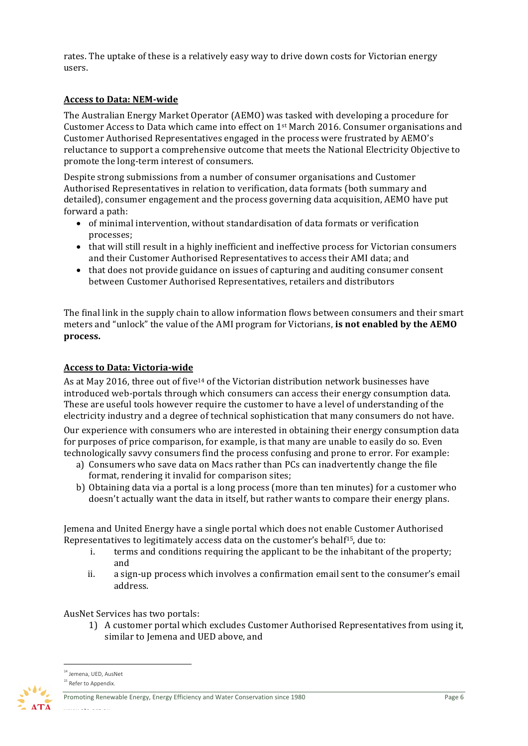rates. The uptake of these is a relatively easy way to drive down costs for Victorian energy users.

# **Access to Data: NEM-wide**

The Australian Energy Market Operator (AEMO) was tasked with developing a procedure for Customer Access to Data which came into effect on  $1<sup>st</sup>$  March 2016. Consumer organisations and Customer Authorised Representatives engaged in the process were frustrated by AEMO's reluctance to support a comprehensive outcome that meets the National Electricity Objective to promote the long-term interest of consumers.

Despite strong submissions from a number of consumer organisations and Customer Authorised Representatives in relation to verification, data formats (both summary and detailed), consumer engagement and the process governing data acquisition, AEMO have put forward a path:

- of minimal intervention, without standardisation of data formats or verification processes;
- that will still result in a highly inefficient and ineffective process for Victorian consumers and their Customer Authorised Representatives to access their AMI data; and
- that does not provide guidance on issues of capturing and auditing consumer consent between Customer Authorised Representatives, retailers and distributors

The final link in the supply chain to allow information flows between consumers and their smart meters and "unlock" the value of the AMI program for Victorians, **is not enabled by the AEMO process.**

# **Access to Data: Victoria-wide**

As at May 2016, three out of five<sup>14</sup> of the Victorian distribution network businesses have introduced web-portals through which consumers can access their energy consumption data. These are useful tools however require the customer to have a level of understanding of the electricity industry and a degree of technical sophistication that many consumers do not have.

Our experience with consumers who are interested in obtaining their energy consumption data for purposes of price comparison, for example, is that many are unable to easily do so. Even technologically savvy consumers find the process confusing and prone to error. For example:

- a) Consumers who save data on Macs rather than PCs can inadvertently change the file format, rendering it invalid for comparison sites;
- b) Obtaining data via a portal is a long process (more than ten minutes) for a customer who doesn't actually want the data in itself, but rather wants to compare their energy plans.

Jemena and United Energy have a single portal which does not enable Customer Authorised Representatives to legitimately access data on the customer's behalf<sup>15</sup>, due to:

- i. terms and conditions requiring the applicant to be the inhabitant of the property; and
- ii. a sign-up process which involves a confirmation email sent to the consumer's email address.

AusNet Services has two portals:

<u> 1989 - Johann Stein, marwolaethau a bh</u>

1) A customer portal which excludes Customer Authorised Representatives from using it, similar to Jemena and UED above, and

Promoting Renewable Energy, Energy Efficiency and Water Conservation since 1980 Page 6

<sup>&</sup>lt;sup>14</sup> Jemena, UED, AusNet

<sup>&</sup>lt;sup>15</sup> Refer to Appendix.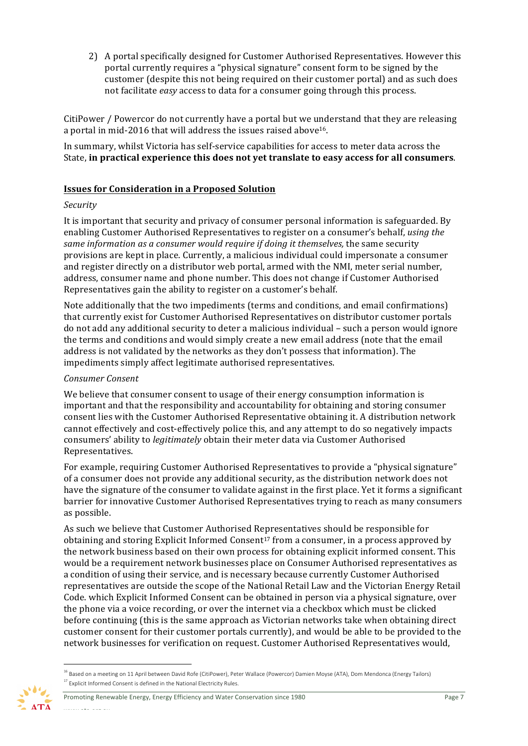2) A portal specifically designed for Customer Authorised Representatives. However this portal currently requires a "physical signature" consent form to be signed by the customer (despite this not being required on their customer portal) and as such does not facilitate *easy* access to data for a consumer going through this process.

CitiPower / Powercor do not currently have a portal but we understand that they are releasing a portal in mid-2016 that will address the issues raised above<sup>16</sup>.

In summary, whilst Victoria has self-service capabilities for access to meter data across the State, in practical experience this does not yet translate to easy access for all consumers.

# **Issues for Consideration in a Proposed Solution**

#### *Security*

It is important that security and privacy of consumer personal information is safeguarded. By enabling Customer Authorised Representatives to register on a consumer's behalf, *using the* same information as a consumer would require if doing it themselves, the same security provisions are kept in place. Currently, a malicious individual could impersonate a consumer and register directly on a distributor web portal, armed with the NMI, meter serial number, address, consumer name and phone number. This does not change if Customer Authorised Representatives gain the ability to register on a customer's behalf.

Note additionally that the two impediments (terms and conditions, and email confirmations) that currently exist for Customer Authorised Representatives on distributor customer portals do not add any additional security to deter a malicious individual – such a person would ignore the terms and conditions and would simply create a new email address (note that the email address is not validated by the networks as they don't possess that information). The impediments simply affect legitimate authorised representatives.

#### *Consumer Consent*

We believe that consumer consent to usage of their energy consumption information is important and that the responsibility and accountability for obtaining and storing consumer consent lies with the Customer Authorised Representative obtaining it. A distribution network cannot effectively and cost-effectively police this, and any attempt to do so negatively impacts consumers' ability to *legitimately* obtain their meter data via Customer Authorised Representatives. 

For example, requiring Customer Authorised Representatives to provide a "physical signature" of a consumer does not provide any additional security, as the distribution network does not have the signature of the consumer to validate against in the first place. Yet it forms a significant barrier for innovative Customer Authorised Representatives trying to reach as many consumers as possible.

As such we believe that Customer Authorised Representatives should be responsible for obtaining and storing Explicit Informed Consent<sup>17</sup> from a consumer, in a process approved by the network business based on their own process for obtaining explicit informed consent. This would be a requirement network businesses place on Consumer Authorised representatives as a condition of using their service, and is necessary because currently Customer Authorised representatives are outside the scope of the National Retail Law and the Victorian Energy Retail Code. which Explicit Informed Consent can be obtained in person via a physical signature, over the phone via a voice recording, or over the internet via a checkbox which must be clicked before continuing (this is the same approach as Victorian networks take when obtaining direct customer consent for their customer portals currently), and would be able to be provided to the network businesses for verification on request. Customer Authorised Representatives would,

<sup>&</sup>lt;sup>16</sup> Based on a meeting on 11 April between David Rofe (CitiPower), Peter Wallace (Powercor) Damien Moyse (ATA), Dom Mendonca (Energy Tailors)  $17$  Explicit Informed Consent is defined in the National Electricity Rules.

Promoting Renewable Energy, Energy Efficiency and Water Conservation since 1980 Page 7 www.ata.org.au<br>.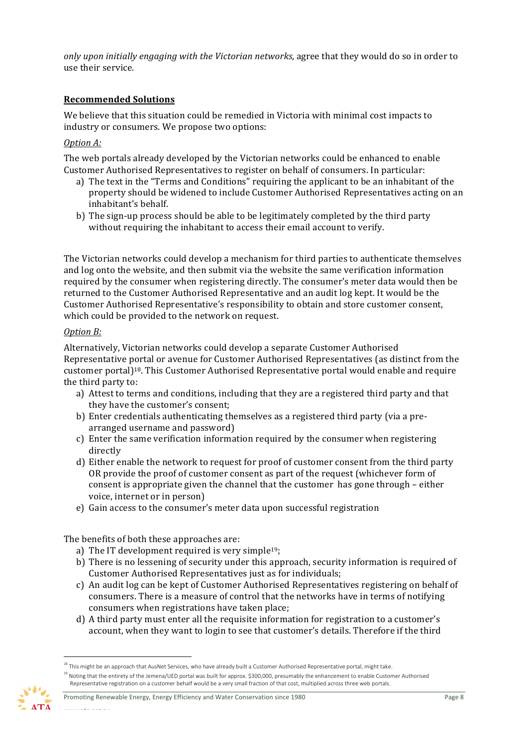*only upon initially engaging with the Victorian networks*, agree that they would do so in order to use their service. 

# **Recommended Solutions**

We believe that this situation could be remedied in Victoria with minimal cost impacts to industry or consumers. We propose two options:

# *Option A:*

The web portals already developed by the Victorian networks could be enhanced to enable Customer Authorised Representatives to register on behalf of consumers. In particular:

- a) The text in the "Terms and Conditions" requiring the applicant to be an inhabitant of the property should be widened to include Customer Authorised Representatives acting on an inhabitant's behalf.
- b) The sign-up process should be able to be legitimately completed by the third party without requiring the inhabitant to access their email account to verify.

The Victorian networks could develop a mechanism for third parties to authenticate themselves and log onto the website, and then submit via the website the same verification information required by the consumer when registering directly. The consumer's meter data would then be returned to the Customer Authorised Representative and an audit log kept. It would be the Customer Authorised Representative's responsibility to obtain and store customer consent, which could be provided to the network on request.

#### *Option B:*

Alternatively, Victorian networks could develop a separate Customer Authorised Representative portal or avenue for Customer Authorised Representatives (as distinct from the customer portal)<sup>18</sup>. This Customer Authorised Representative portal would enable and require the third party to:

- a) Attest to terms and conditions, including that they are a registered third party and that they have the customer's consent;
- b) Enter credentials authenticating themselves as a registered third party (via a prearranged username and password)
- c) Enter the same verification information required by the consumer when registering directly
- d) Either enable the network to request for proof of customer consent from the third party OR provide the proof of customer consent as part of the request (whichever form of consent is appropriate given the channel that the customer  $\Delta$  has gone through – either voice, internet or in person)
- e) Gain access to the consumer's meter data upon successful registration

The benefits of both these approaches are:

- a) The IT development required is very simple<sup>19</sup>;
- b) There is no lessening of security under this approach, security information is required of Customer Authorised Representatives just as for individuals;
- c) An audit log can be kept of Customer Authorised Representatives registering on behalf of consumers. There is a measure of control that the networks have in terms of notifying consumers when registrations have taken place;
- d) A third party must enter all the requisite information for registration to a customer's account, when they want to login to see that customer's details. Therefore if the third

<sup>&</sup>lt;sup>18</sup> This might be an approach that AusNet Services, who have already built a Customer Authorised Representative portal, might take.

<sup>&</sup>lt;sup>19</sup> Noting that the entirety of the Jemena/UED portal was built for approx. \$300,000, presumably the enhancement to enable Customer Authorised Representative registration on a customer behalf would be a very small fraction of that cost, multiplied across three web portals.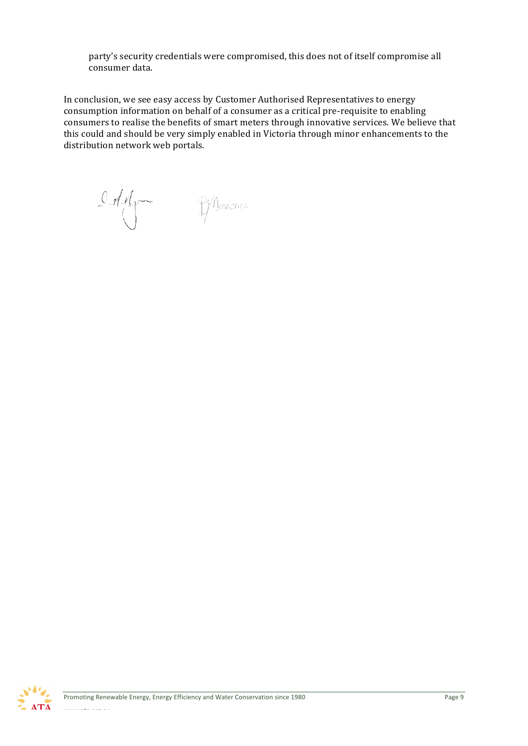party's security credentials were compromised, this does not of itself compromise all consumer data.

In conclusion, we see easy access by Customer Authorised Representatives to energy consumption information on behalf of a consumer as a critical pre-requisite to enabling consumers to realise the benefits of smart meters through innovative services. We believe that this could and should be very simply enabled in Victoria through minor enhancements to the distribution network web portals.

 $0.111$ 

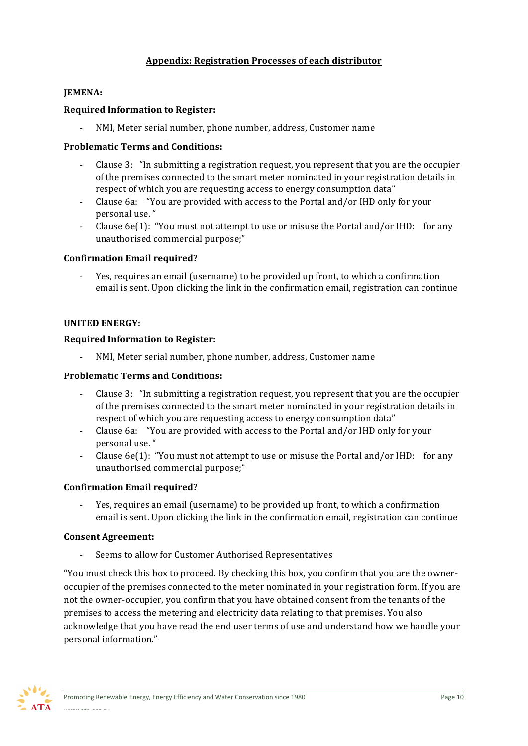# **Appendix: Registration Processes of each distributor**

# **JEMENA:**

# **Required Information to Register:**

NMI, Meter serial number, phone number, address, Customer name

# **Problematic Terms and Conditions:**

- Clause 3: "In submitting a registration request, you represent that you are the occupier of the premises connected to the smart meter nominated in your registration details in respect of which you are requesting access to energy consumption data"
- Clause 6a: "You are provided with access to the Portal and/or IHD only for your personal use."
- Clause  $6e(1)$ : "You must not attempt to use or misuse the Portal and/or IHD: for any unauthorised commercial purpose;"

# **Confirmation Email required?**

- Yes, requires an email (username) to be provided up front, to which a confirmation email is sent. Upon clicking the link in the confirmation email, registration can continue

# **UNITED ENERGY:**

# **Required Information to Register:**

NMI, Meter serial number, phone number, address, Customer name

# **Problematic Terms and Conditions:**

- Clause 3: "In submitting a registration request, you represent that you are the occupier of the premises connected to the smart meter nominated in your registration details in respect of which you are requesting access to energy consumption data"
- Clause 6a: "You are provided with access to the Portal and/or IHD only for your personal use. "
- Clause  $6e(1)$ : "You must not attempt to use or misuse the Portal and/or IHD: for any unauthorised commercial purpose;"

# **Confirmation Email required?**

Yes, requires an email (username) to be provided up front, to which a confirmation email is sent. Upon clicking the link in the confirmation email, registration can continue

#### **Consent Agreement:**

Seems to allow for Customer Authorised Representatives

"You must check this box to proceed. By checking this box, you confirm that you are the owneroccupier of the premises connected to the meter nominated in your registration form. If you are not the owner-occupier, you confirm that you have obtained consent from the tenants of the premises to access the metering and electricity data relating to that premises. You also acknowledge that you have read the end user terms of use and understand how we handle your personal information."